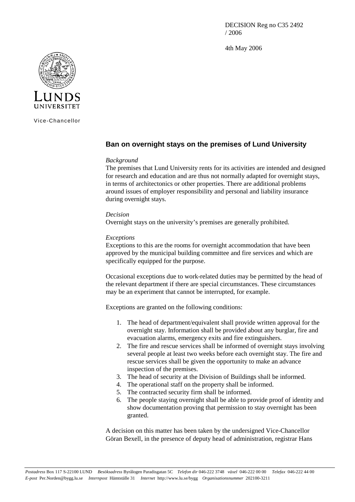DECISION Reg no C35 2492 / 2006

4th May 2006



Vice-Chancellor

## **Ban on overnight stays on the premises of Lund University**

## *Background*

The premises that Lund University rents for its activities are intended and designed for research and education and are thus not normally adapted for overnight stays, in terms of architectonics or other properties. There are additional problems around issues of employer responsibility and personal and liability insurance during overnight stays.

## *Decision*

Overnight stays on the university's premises are generally prohibited.

## *Exceptions*

Exceptions to this are the rooms for overnight accommodation that have been approved by the municipal building committee and fire services and which are specifically equipped for the purpose.

Occasional exceptions due to work-related duties may be permitted by the head of the relevant department if there are special circumstances. These circumstances may be an experiment that cannot be interrupted, for example.

Exceptions are granted on the following conditions:

- 1. The head of department/equivalent shall provide written approval for the overnight stay. Information shall be provided about any burglar, fire and evacuation alarms, emergency exits and fire extinguishers.
- 2. The fire and rescue services shall be informed of overnight stays involving several people at least two weeks before each overnight stay. The fire and rescue services shall be given the opportunity to make an advance inspection of the premises.
- 3. The head of security at the Division of Buildings shall be informed.
- 4. The operational staff on the property shall be informed.
- 5. The contracted security firm shall be informed.
- 6. The people staying overnight shall be able to provide proof of identity and show documentation proving that permission to stay overnight has been granted.

A decision on this matter has been taken by the undersigned Vice-Chancellor Göran Bexell, in the presence of deputy head of administration, registrar Hans